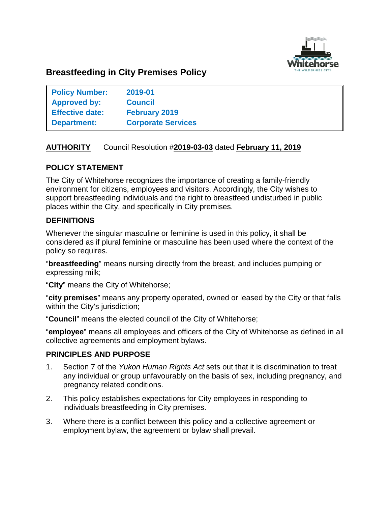

# **Breastfeeding in City Premises Policy**

| <b>Policy Number:</b>  | 2019-01                   |
|------------------------|---------------------------|
| Approved by:           | <b>Council</b>            |
| <b>Effective date:</b> | <b>February 2019</b>      |
| <b>Department:</b>     | <b>Corporate Services</b> |

# **AUTHORITY** Council Resolution #**2019-03-03** dated **February 11, 2019**

## **POLICY STATEMENT**

The City of Whitehorse recognizes the importance of creating a family-friendly environment for citizens, employees and visitors. Accordingly, the City wishes to support breastfeeding individuals and the right to breastfeed undisturbed in public places within the City, and specifically in City premises.

## **DEFINITIONS**

Whenever the singular masculine or feminine is used in this policy, it shall be considered as if plural feminine or masculine has been used where the context of the policy so requires.

"**breastfeeding**" means nursing directly from the breast, and includes pumping or expressing milk;

"**City**" means the City of Whitehorse;

"**city premises**" means any property operated, owned or leased by the City or that falls within the City's jurisdiction;

"**Council**" means the elected council of the City of Whitehorse;

"**employee**" means all employees and officers of the City of Whitehorse as defined in all collective agreements and employment bylaws.

#### **PRINCIPLES AND PURPOSE**

- 1. Section 7 of the *Yukon Human Rights Act* sets out that it is discrimination to treat any individual or group unfavourably on the basis of sex, including pregnancy, and pregnancy related conditions.
- 2. This policy establishes expectations for City employees in responding to individuals breastfeeding in City premises.
- 3. Where there is a conflict between this policy and a collective agreement or employment bylaw, the agreement or bylaw shall prevail.